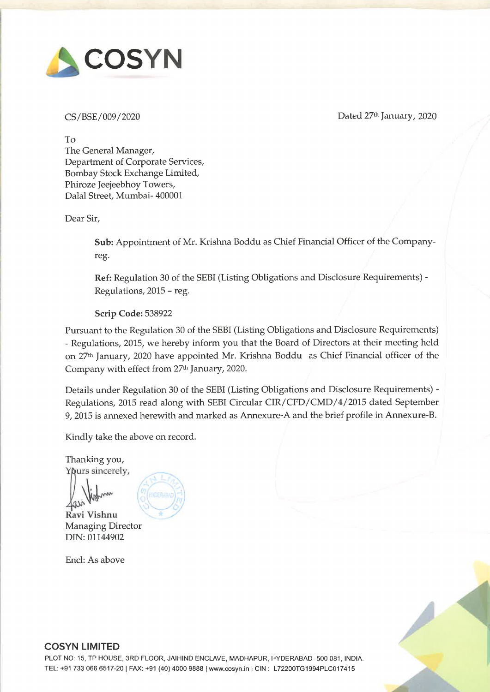

CS/BSE/009/2020 Dated 27% January, 2020

To The General Manager, Department of Corporate Services, Bombay Stock Exchange Limited, Phiroze Jeejeebhoy Towers, Dalal Street, Mumbai- 400001

Dear Sir,

Sub: Appointment of Mr. Krishna Boddu as Chief Financial Officer of the Companyreg.

Ref: Regulation 30 of the SEBI (Listing Obligations and Disclosure Requirements) - Regulations, 2015 - reg.

Scrip Code: 538922

Pursuant to the Regulation 30 of the SEBI (Listing Obligations and Disclosure Requirements) - Regulations, 2015, we hereby inform you that the Board of Directors at their meeting held on 27<sup>th</sup> January, 2020 have appointed Mr. Krishna Boddu as Chief Financial officer of the Company with effect from 27% January, 2020.

Details under Regulation 30 of the SEBI (Listing Obligations and Disclosure Requirements) - Regulations, 2015 read along with SEBI Circular CIR/CFD/CMD/4/2015 dated September 9, 2015 is annexed herewith and marked as Annexure-A and the brief profile in Annexure-B.

Kindly take the above on record.

Thanking you, Ypurs sincerely,

\hopm . Ravi Vishnu

Managing Director DIN: 01144902

Encl: As above





# COSYN LIMITED

PLOT NO: 15, TP HOUSE, 3RD FLOOR, JAIHIND ENCLAVE, MADHAPUR, HYDERABAD- 500 081, INDIA. TEL: +91 733 066 6517-20 | FAX: +91 (40) 4000 9888 | www.cosyn.in | CIN : L72200TG1994PLC017415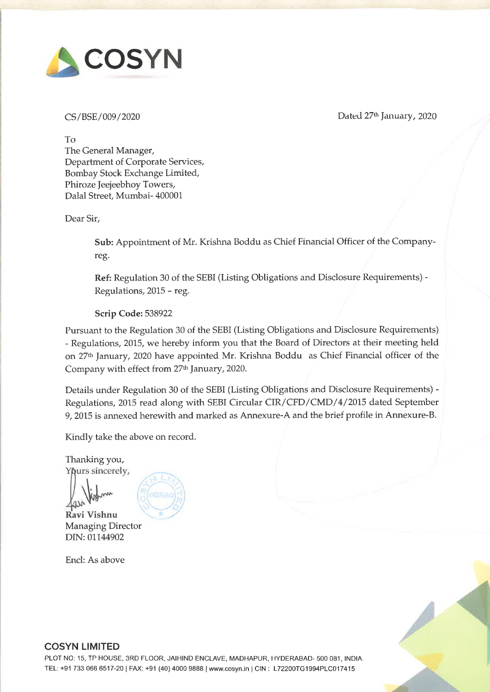# Annexure-A

Details under Regulation 30 of the SEBI (Listing Obligations and Disclosure Details under Regulation 30 of the SI<br>Requirements) - Regulations, 2015 read alon<br>dated September 9, 2015<br>SI No Particulars Details under Regulation 30 of the SF<br>Requirements) - Regulations, 2015 read alon<br>dated September 9, 2015 Requirements) - Regulations, 2015 read along with SEBI Circular CIR/CFD/CMD/4/2015 Details under Regulation 30 of the SE<br>Requirements) - Regulations, 2015 read along<br>dated September 9, 2015<br>SI No Particulars<br>1 Reasons for change dated September 9, 2015

|                         |                                                                                    | Annexure-A                     |
|-------------------------|------------------------------------------------------------------------------------|--------------------------------|
|                         |                                                                                    |                                |
|                         | Details under Regulation 30 of the SEBI (Listing Obligations and Disclosure        |                                |
|                         | Requirements) - Regulations, 2015 read along with SEBI Circular CIR/CFD/CMD/4/2015 |                                |
|                         | dated September 9, 2015                                                            |                                |
| Sl <sub>No</sub>        | <b>Particulars</b>                                                                 | <b>Details</b>                 |
| $\mathbf{1}$            | <b>Reasons for change</b>                                                          | Appointment                    |
| $\overline{2}$          | <b>Date of Appointment</b>                                                         | 27 <sup>th</sup> January, 2020 |
| 3                       | <b>Brief Profile</b>                                                               | <b>Attached as Annexure B</b>  |
| $\overline{\mathbf{4}}$ | Disclosure of relationships<br>between                                             | <b>NIL</b>                     |
|                         | directors                                                                          |                                |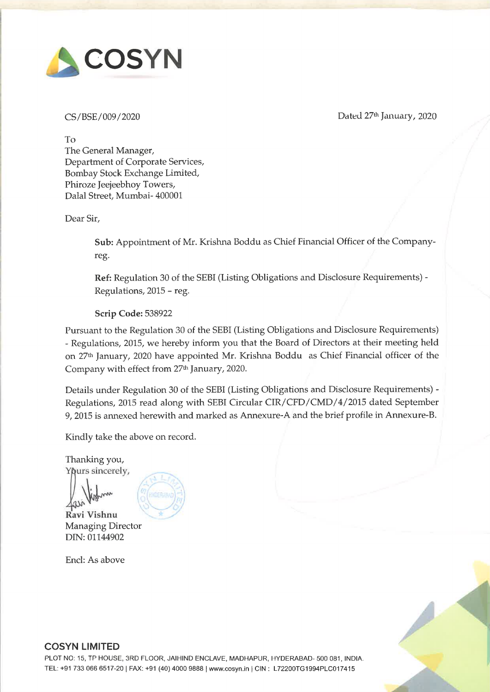# KRISHNA BODDU KRISHN<br>Mobile No.: +91 9493408 Mobile No.: +91 9493408009 Email: krish92@gmail.com

## CARRIER OBJECTIVE

A result-oriented career in an organisation involving challenging responsibilities and seeking a position to utilise and improve my skills and abilities in the field of Accounts and Taxation that offers knowledge enrichment and professional growth while being resourceful, innovative and flexible to build KRISHNA<br>
Mobile No.: +91 9493408009<br>
CARRIER OBJECTIVE<br>
A result-oriented career in an organisation<br>
position to utilise and improve my skills and abilitie<br>
knowledge enrichment and professional growth whilmy career and fo my career and for growth of the organisation in an efficient and effective manner. **KRISHNA BODDU**<br>
Mobile No.: +91 9493408009 Email: **krish92@gmail.com**<br>
CARRIER OBJECTIVE<br>
A result-oriented career in an organisation involving challenging responsibilities and seeking a<br>
position to utilise and improve m **KRISHNA**<br>
Mobile No.: **+91 9493408009**<br> **CARRIER OBJECTIVE**<br>
A result-oriented career in an organisation<br>
position to utilise and improve my skills and abiliti<br>
knowledge enrichment and professional growth whil<br>
my career **KRISHNA**<br>
Mobile No.: +91 9493408009<br>
CARRIER OBJECTIVE<br>
A result-oriented career in an organisation<br>
position to utilise and improve my skills and abiliti<br>
knowledge enrichment and professional growth whil<br>
my career and

## PROFESSIONAL/EDUCATIONAL/TECHNICAL QUALIFICATIONS

M.Com from Osmania University (1990). B. Com. from Osmania University (1988)

## | WORK EXPERIENCE & ROLE

| <b>Organization:</b> | <b>COSYN LIMITED., HYDERABAD</b>                  |
|----------------------|---------------------------------------------------|
| Period:              | (August 2016 to till date)                        |
| Role:                | Working as <b>Manager</b> – Finance $\&$ Accounts |

Responsible for

- ❖ Budgeting
- $\cdot \cdot$  Internal Financial Controls
- ❖ Policies and Procedures
- $\div$  Risk mitigation
- ❖ Risk mitigation<br>❖ Statutory Compliances
- ❖ Financial Analytics
- ❖ Receivables and Payables Management

| Organization: | <b>BIOVIZ TECHNOLOGIES PVT LTD., HYDERABAD</b>                                  |
|---------------|---------------------------------------------------------------------------------|
| Period:       | (Apri1 2011 to July 2016)                                                       |
| Role:         | Worked as Senior Manager - Accounts                                             |
|               | Bioviz Technologies Pvt. Ltd. is a research driven biotech company, pioneers in |
|               | intensive research of recombinant DNA derived products.                         |

- $\bullet$  In charge of Accounts Department and monitoring day to day transactions and accounting
- $\cdot$  Invoice Verification/Accounting Validation &
- $\triangle$  Accounts Receivables month-end closure responsibility
- ◆ Maintaining location wise Expense tracker
- ◆ Maintaining location wise Expense tracker<br>◆ Preparation of monthly MIS reports as required by the management.
- ❖ Compliance for Internal / Statutory / Tax Audits
- $\cdot \cdot$  Preparation of monthly payroll, disbursement of Salaries.
- **♦** Calculation of TDS on Salaries and filing quarterly e-statements.<br>♦ Accounting Onsite employee's expenses claim travel overseas.
- Accounting Onsite employee's expenses claim, travel overseas advance, settlement of travel advance
- $\cdot$  Initiate travel advance recovery through employee's salary/reimbursements
- Reconciliation of expenses account, advances account & employee payables
- $\cdot$  Ensuring strict diligence to internal controls and policies & procedures
- $\bullet$  Physical verification of Inventories at Head Office Depot on weekly basis & Quarterly verification of books and inventories at Consignment Agent locations spread across the country